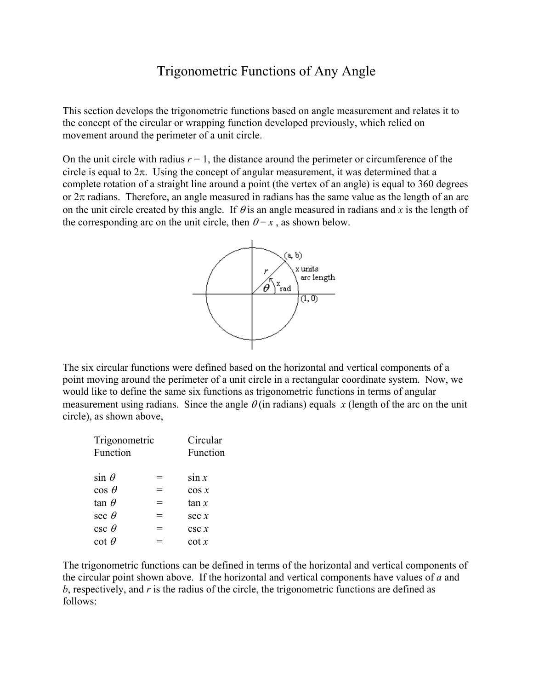## Trigonometric Functions of Any Angle

This section develops the trigonometric functions based on angle measurement and relates it to the concept of the circular or wrapping function developed previously, which relied on movement around the perimeter of a unit circle.

On the unit circle with radius  $r = 1$ , the distance around the perimeter or circumference of the circle is equal to  $2\pi$ . Using the concept of angular measurement, it was determined that a complete rotation of a straight line around a point (the vertex of an angle) is equal to 360 degrees or  $2\pi$  radians. Therefore, an angle measured in radians has the same value as the length of an arc on the unit circle created by this angle. If  $\theta$  is an angle measured in radians and *x* is the length of the corresponding arc on the unit circle, then  $\theta = x$ , as shown below.



The six circular functions were defined based on the horizontal and vertical components of a point moving around the perimeter of a unit circle in a rectangular coordinate system. Now, we would like to define the same six functions as trigonometric functions in terms of angular measurement using radians. Since the angle  $\theta$  (in radians) equals *x* (length of the arc on the unit circle), as shown above,

| Circular<br>Function |
|----------------------|
| sin x                |
| $\cos x$             |
| tan x                |
| sec x                |
| csc x                |
| $\cot x$             |
|                      |

The trigonometric functions can be defined in terms of the horizontal and vertical components of the circular point shown above. If the horizontal and vertical components have values of *a* and *b*, respectively, and *r* is the radius of the circle, the trigonometric functions are defined as follows: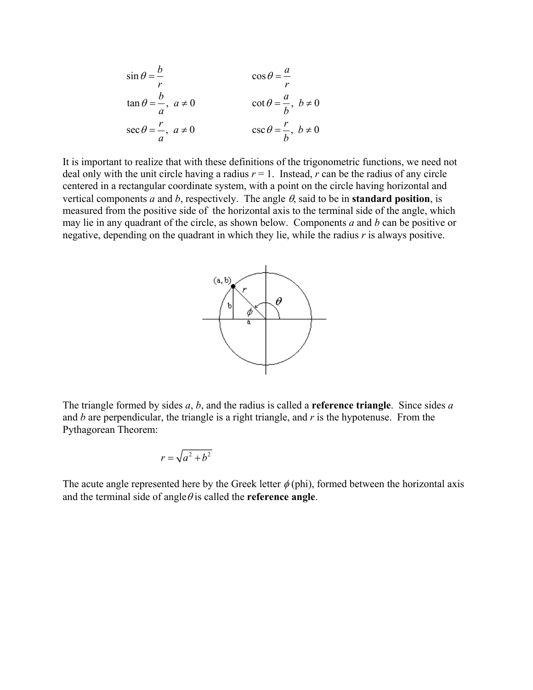$$
\sin \theta = \frac{b}{r} \qquad \qquad \cos \theta = \frac{a}{r}
$$
  
\n
$$
\tan \theta = \frac{b}{a}, \ a \neq 0 \qquad \qquad \cot \theta = \frac{a}{b}, \ b \neq 0
$$
  
\n
$$
\sec \theta = \frac{r}{a}, \ a \neq 0 \qquad \qquad \csc \theta = \frac{r}{b}, \ b \neq 0
$$

It is important to realize that with these definitions of the trigonometric functions, we need not deal only with the unit circle having a radius  $r = 1$ . Instead,  $r$  can be the radius of any circle centered in a rectangular coordinate system, with a point on the circle having horizontal and vertical components *a* and *b*, respectively. The angle  $\theta$ , said to be in **standard position**, is measured from the positive side of the horizontal axis to the terminal side of the angle, which may lie in any quadrant of the circle, as shown below. Components *a* and *b* can be positive or negative, depending on the quadrant in which they lie, while the radius *r* is always positive.



The triangle formed by sides *a*, *b*, and the radius is called a **reference triangle**. Since sides *a* and *b* are perpendicular, the triangle is a right triangle, and *r* is the hypotenuse. From the Pythagorean Theorem:

$$
r = \sqrt{a^2 + b^2}
$$

The acute angle represented here by the Greek letter  $\phi$  (phi), formed between the horizontal axis and the terminal side of angle  $\theta$  is called the **reference angle**.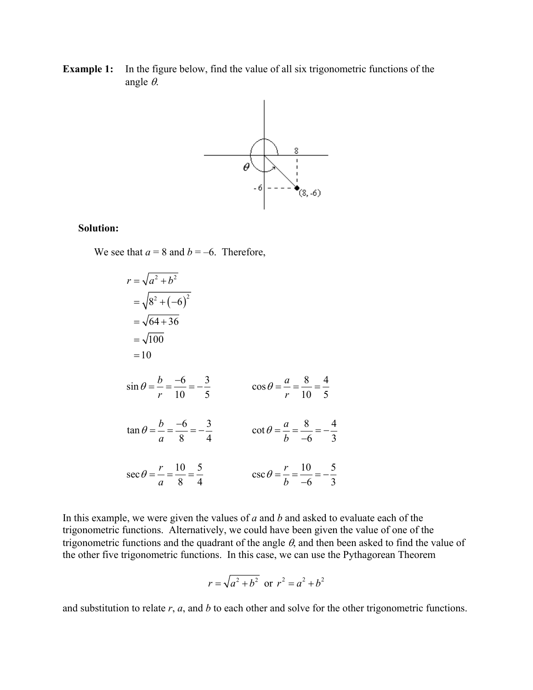**Example 1:** In the figure below, find the value of all six trigonometric functions of the angle θ.



## **Solution:**

We see that  $a = 8$  and  $b = -6$ . Therefore,



In this example, we were given the values of *a* and *b* and asked to evaluate each of the trigonometric functions. Alternatively, we could have been given the value of one of the trigonometric functions and the quadrant of the angle  $\theta$ , and then been asked to find the value of the other five trigonometric functions. In this case, we can use the Pythagorean Theorem

$$
r = \sqrt{a^2 + b^2}
$$
 or  $r^2 = a^2 + b^2$ 

and substitution to relate *r*, *a*, and *b* to each other and solve for the other trigonometric functions.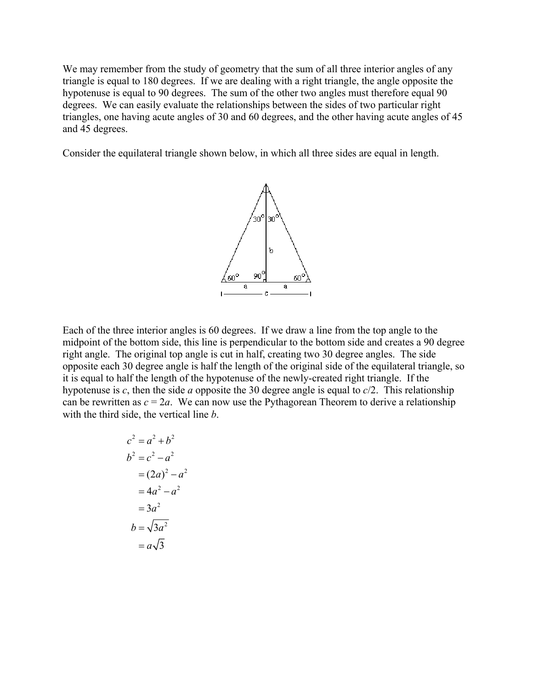We may remember from the study of geometry that the sum of all three interior angles of any triangle is equal to 180 degrees. If we are dealing with a right triangle, the angle opposite the hypotenuse is equal to 90 degrees. The sum of the other two angles must therefore equal 90 degrees. We can easily evaluate the relationships between the sides of two particular right triangles, one having acute angles of 30 and 60 degrees, and the other having acute angles of 45 and 45 degrees.

Consider the equilateral triangle shown below, in which all three sides are equal in length.



Each of the three interior angles is 60 degrees. If we draw a line from the top angle to the midpoint of the bottom side, this line is perpendicular to the bottom side and creates a 90 degree right angle. The original top angle is cut in half, creating two 30 degree angles. The side opposite each 30 degree angle is half the length of the original side of the equilateral triangle, so it is equal to half the length of the hypotenuse of the newly-created right triangle. If the hypotenuse is *c*, then the side *a* opposite the 30 degree angle is equal to *c*/2. This relationship can be rewritten as  $c = 2a$ . We can now use the Pythagorean Theorem to derive a relationship with the third side, the vertical line *b*.

$$
c2 = a2 + b2
$$
  
\n
$$
b2 = c2 - a2
$$
  
\n
$$
= (2a)2 - a2
$$
  
\n
$$
= 4a2 - a2
$$
  
\n
$$
= 3a2
$$
  
\n
$$
b = \sqrt{3a2}
$$
  
\n
$$
= a\sqrt{3}
$$